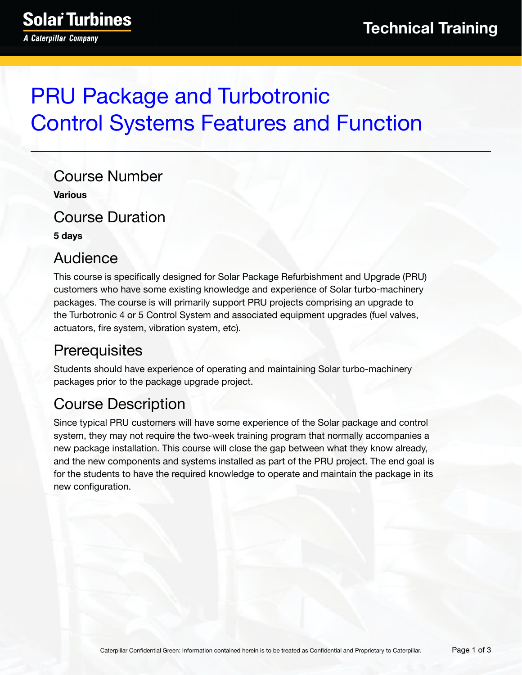# PRU Package and Turbotronic Control Systems Features and Function

Course Number **Various**

Course Duration

**5 days**

# Audience

This course is specifically designed for Solar Package Refurbishment and Upgrade (PRU) customers who have some existing knowledge and experience of Solar turbo-machinery packages. The course is will primarily support PRU projects comprising an upgrade to the Turbotronic 4 or 5 Control System and associated equipment upgrades (fuel valves, actuators, fire system, vibration system, etc).

# **Prerequisites**

Students should have experience of operating and maintaining Solar turbo-machinery packages prior to the package upgrade project.

# Course Description

Since typical PRU customers will have some experience of the Solar package and control system, they may not require the two-week training program that normally accompanies a new package installation. This course will close the gap between what they know already, and the new components and systems installed as part of the PRU project. The end goal is for the students to have the required knowledge to operate and maintain the package in its new configuration.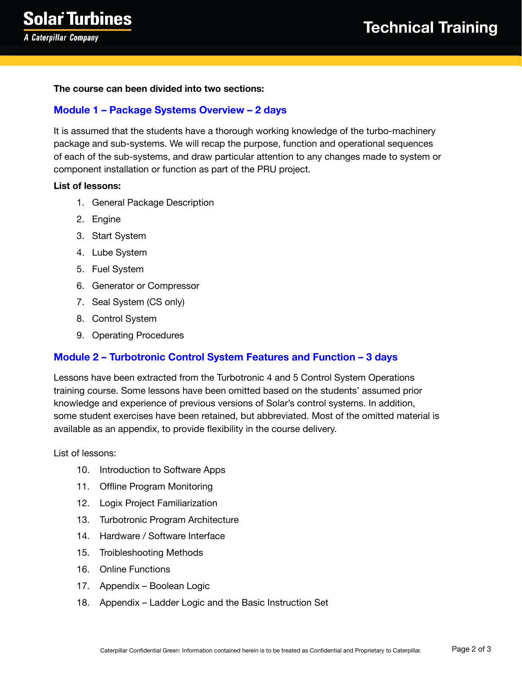#### **The course can been divided into two sections:**

### **Module 1 – Package Systems Overview – 2 days**

It is assumed that the students have a thorough working knowledge of the turbo-machinery package and sub-systems. We will recap the purpose, function and operational sequences of each of the sub-systems, and draw particular attention to any changes made to system or component installation or function as part of the PRU project.

### **List of lessons:**

- 1. General Package Description
- 2. Engine
- 3. Start System
- 4. Lube System
- 5. Fuel System
- 6. Generator or Compressor
- 7. Seal System (CS only)
- 8. Control System
- 9. Operating Procedures

### **Module 2 – Turbotronic Control System Features and Function – 3 days**

Lessons have been extracted from the Turbotronic 4 and 5 Control System Operations training course. Some lessons have been omitted based on the students' assumed prior knowledge and experience of previous versions of Solar's control systems. In addition, some student exercises have been retained, but abbreviated. Most of the omitted material is available as an appendix, to provide flexibility in the course delivery.

List of lessons:

- 10. Introduction to Software Apps
- 11. Offline Program Monitoring
- 12. Logix Project Familiarization
- 13. Turbotronic Program Architecture
- 14. Hardware / Software Interface
- 15. Troibleshooting Methods
- 16. Online Functions
- 17. Appendix Boolean Logic
- 18. Appendix Ladder Logic and the Basic Instruction Set